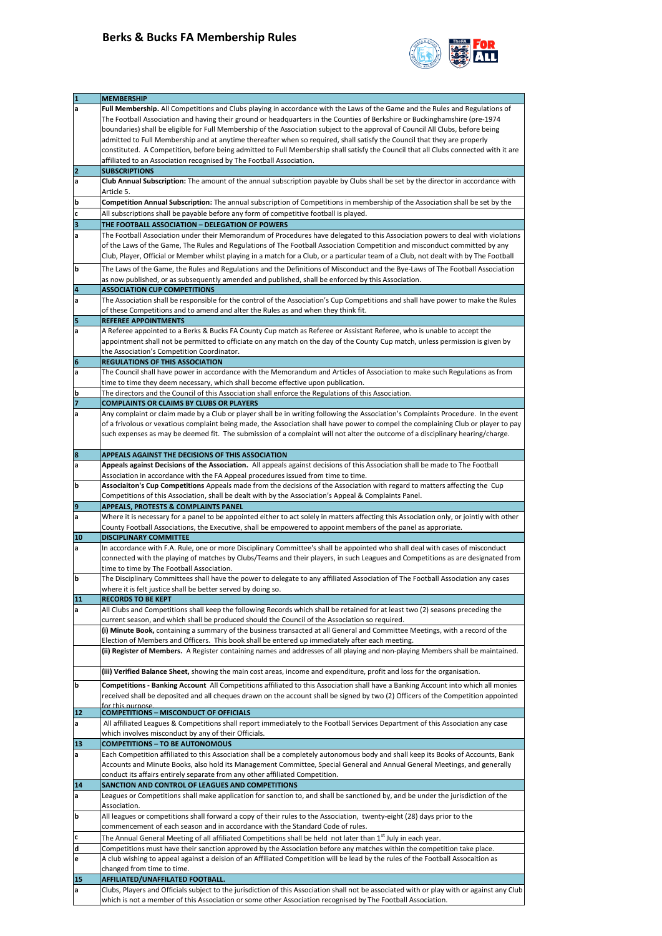## **Berks & Bucks FA Membership Rules**



|                         | <b>MEMBERSHIP</b>                                                                                                                                                                                                                                             |
|-------------------------|---------------------------------------------------------------------------------------------------------------------------------------------------------------------------------------------------------------------------------------------------------------|
| a                       | Full Membership. All Competitions and Clubs playing in accordance with the Laws of the Game and the Rules and Regulations of                                                                                                                                  |
|                         | The Football Association and having their ground or headquarters in the Counties of Berkshire or Buckinghamshire (pre-1974                                                                                                                                    |
|                         | boundaries) shall be eligible for Full Membership of the Association subject to the approval of Council All Clubs, before being                                                                                                                               |
|                         | admitted to Full Membership and at anytime thereafter when so required, shall satisfy the Council that they are properly                                                                                                                                      |
|                         | constituted. A Competition, before being admitted to Full Membership shall satisfy the Council that all Clubs connected with it are                                                                                                                           |
|                         | affiliated to an Association recognised by The Football Association.                                                                                                                                                                                          |
| $\overline{2}$<br>a     | <b>SUBSCRIPTIONS</b><br>Club Annual Subscription: The amount of the annual subscription payable by Clubs shall be set by the director in accordance with                                                                                                      |
|                         | Article 5.                                                                                                                                                                                                                                                    |
| b                       | Competition Annual Subscription: The annual subscription of Competitions in membership of the Association shall be set by the                                                                                                                                 |
| C                       | All subscriptions shall be payable before any form of competitive football is played.                                                                                                                                                                         |
| $\overline{\mathbf{3}}$ | THE FOOTBALL ASSOCIATION - DELEGATION OF POWERS                                                                                                                                                                                                               |
| a                       | The Football Association under their Memorandum of Procedures have delegated to this Association powers to deal with violations                                                                                                                               |
|                         | of the Laws of the Game, The Rules and Regulations of The Football Association Competition and misconduct committed by any                                                                                                                                    |
|                         | Club, Player, Official or Member whilst playing in a match for a Club, or a particular team of a Club, not dealt with by The Football                                                                                                                         |
| b                       | The Laws of the Game, the Rules and Regulations and the Definitions of Misconduct and the Bye-Laws of The Football Association                                                                                                                                |
|                         | as now published, or as subsequently amended and published, shall be enforced by this Association.                                                                                                                                                            |
| 4                       | <b>ASSOCIATION CUP COMPETITIONS</b>                                                                                                                                                                                                                           |
| a                       | The Association shall be responsible for the control of the Association's Cup Competitions and shall have power to make the Rules                                                                                                                             |
|                         | of these Competitions and to amend and alter the Rules as and when they think fit.                                                                                                                                                                            |
| 5                       | <b>REFEREE APPOINTMENTS</b>                                                                                                                                                                                                                                   |
| a                       | A Referee appointed to a Berks & Bucks FA County Cup match as Referee or Assistant Referee, who is unable to accept the                                                                                                                                       |
|                         | appointment shall not be permitted to officiate on any match on the day of the County Cup match, unless permission is given by                                                                                                                                |
|                         | the Association's Competition Coordinator.                                                                                                                                                                                                                    |
| 6                       | <b>REGULATIONS OF THIS ASSOCIATION</b>                                                                                                                                                                                                                        |
| a                       | The Council shall have power in accordance with the Memorandum and Articles of Association to make such Regulations as from                                                                                                                                   |
|                         | time to time they deem necessary, which shall become effective upon publication.                                                                                                                                                                              |
| b<br>$\overline{7}$     | The directors and the Council of this Association shall enforce the Regulations of this Association.                                                                                                                                                          |
| a                       | <b>COMPLAINTS OR CLAIMS BY CLUBS OR PLAYERS</b><br>Any complaint or claim made by a Club or player shall be in writing following the Association's Complaints Procedure. In the event                                                                         |
|                         | of a frivolous or vexatious complaint being made, the Association shall have power to compel the complaining Club or player to pay                                                                                                                            |
|                         | such expenses as may be deemed fit. The submission of a complaint will not alter the outcome of a disciplinary hearing/charge.                                                                                                                                |
|                         |                                                                                                                                                                                                                                                               |
| 8                       | APPEALS AGAINST THE DECISIONS OF THIS ASSOCIATION                                                                                                                                                                                                             |
| a                       | Appeals against Decisions of the Association. All appeals against decisions of this Association shall be made to The Football                                                                                                                                 |
|                         | Association in accordance with the FA Appeal procedures issued from time to time.                                                                                                                                                                             |
| b                       | Associaiton's Cup Competitions Appeals made from the decisions of the Association with regard to matters affecting the Cup                                                                                                                                    |
|                         | Competitions of this Association, shall be dealt with by the Association's Appeal & Complaints Panel.                                                                                                                                                         |
| 9                       | <b>APPEALS, PROTESTS &amp; COMPLAINTS PANEL</b>                                                                                                                                                                                                               |
| a                       | Where it is necessary for a panel to be appointed either to act solely in matters affecting this Association only, or jointly with other<br>County Football Associations, the Executive, shall be empowered to appoint members of the panel as approriate.    |
| 10                      | <b>DISCIPLINARY COMMITTEE</b>                                                                                                                                                                                                                                 |
| a                       | In accordance with F.A. Rule, one or more Disciplinary Committee's shall be appointed who shall deal with cases of misconduct                                                                                                                                 |
|                         | connected with the playing of matches by Clubs/Teams and their players, in such Leagues and Competitions as are designated from                                                                                                                               |
|                         | time to time by The Football Association.                                                                                                                                                                                                                     |
| ١b                      | The Disciplinary Committees shall have the power to delegate to any affiliated Association of The Football Association any cases                                                                                                                              |
|                         | where it is felt justice shall be better served by doing so.                                                                                                                                                                                                  |
| 11                      | <b>RECORDS TO BE KEPT</b>                                                                                                                                                                                                                                     |
| a                       | All Clubs and Competitions shall keep the following Records which shall be retained for at least two (2) seasons preceding the                                                                                                                                |
|                         | current season, and which shall be produced should the Council of the Association so required.                                                                                                                                                                |
|                         | (i) Minute Book, containing a summary of the business transacted at all General and Committee Meetings, with a record of the<br>Election of Members and Officers. This book shall be entered up immediately after each meeting.                               |
|                         | (ii) Register of Members. A Register containing names and addresses of all playing and non-playing Members shall be maintained.                                                                                                                               |
|                         |                                                                                                                                                                                                                                                               |
|                         | (iii) Verified Balance Sheet, showing the main cost areas, income and expenditure, profit and loss for the organisation.                                                                                                                                      |
| b                       | Competitions - Banking Account All Competitions affiliated to this Association shall have a Banking Account into which all monies                                                                                                                             |
|                         | received shall be deposited and all cheques drawn on the account shall be signed by two (2) Officers of the Competition appointed                                                                                                                             |
|                         | for this nurnose                                                                                                                                                                                                                                              |
| 12                      | <b>COMPETITIONS - MISCONDUCT OF OFFICIALS</b>                                                                                                                                                                                                                 |
| a                       | All affiliated Leagues & Competitions shall report immediately to the Football Services Department of this Association any case                                                                                                                               |
|                         | which involves misconduct by any of their Officials.                                                                                                                                                                                                          |
| 13                      | <b>COMPETITIONS - TO BE AUTONOMOUS</b>                                                                                                                                                                                                                        |
| a                       | Each Competition affiliated to this Association shall be a completely autonomous body and shall keep its Books of Accounts, Bank<br>Accounts and Minute Books, also hold its Management Committee, Special General and Annual General Meetings, and generally |
|                         | conduct its affairs entirely separate from any other affiliated Competition.                                                                                                                                                                                  |
| 14                      | SANCTION AND CONTROL OF LEAGUES AND COMPETITIONS                                                                                                                                                                                                              |
| a                       | Leagues or Competitions shall make application for sanction to, and shall be sanctioned by, and be under the jurisdiction of the                                                                                                                              |
|                         | Association.                                                                                                                                                                                                                                                  |
| b                       | All leagues or competitions shall forward a copy of their rules to the Association, twenty-eight (28) days prior to the                                                                                                                                       |
|                         | commencement of each season and in accordance with the Standard Code of rules.                                                                                                                                                                                |
| с                       | The Annual General Meeting of all affiliated Competitions shall be held not later than 1 <sup>st</sup> July in each year.                                                                                                                                     |
| d                       | Competitions must have their sanction approved by the Association before any matches within the competition take place.                                                                                                                                       |
| e                       | A club wishing to appeal against a deision of an Affiliated Competition will be lead by the rules of the Football Assocaition as                                                                                                                              |
|                         | changed from time to time.                                                                                                                                                                                                                                    |
| 15                      | AFFILIATED/UNAFFILATED FOOTBALL.                                                                                                                                                                                                                              |
| a                       | Clubs, Players and Officials subject to the jurisdiction of this Association shall not be associated with or play with or against any Club<br>which is not a member of this Association or some other Association recognised by The Football Association.     |
|                         |                                                                                                                                                                                                                                                               |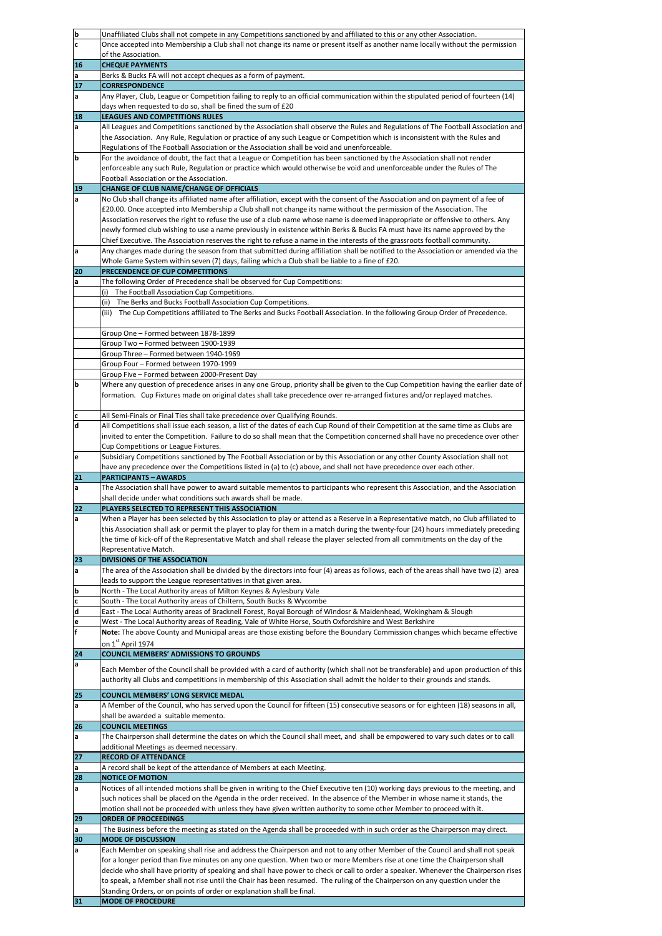| b                           | Unaffiliated Clubs shall not compete in any Competitions sanctioned by and affiliated to this or any other Association.                 |
|-----------------------------|-----------------------------------------------------------------------------------------------------------------------------------------|
| c                           | Once accepted into Membership a Club shall not change its name or present itself as another name locally without the permission         |
|                             | of the Association.                                                                                                                     |
| 16                          | <b>CHEQUE PAYMENTS</b>                                                                                                                  |
| a                           | Berks & Bucks FA will not accept cheques as a form of payment.                                                                          |
| 17                          | <b>CORRESPONDENCE</b>                                                                                                                   |
| a                           | Any Player, Club, League or Competition failing to reply to an official communication within the stipulated period of fourteen (14)     |
|                             | days when requested to do so, shall be fined the sum of £20                                                                             |
|                             | <b>LEAGUES AND COMPETITIONS RULES</b>                                                                                                   |
| 18                          |                                                                                                                                         |
| a                           | All Leagues and Competitions sanctioned by the Association shall observe the Rules and Regulations of The Football Association and      |
|                             | the Association. Any Rule, Regulation or practice of any such League or Competition which is inconsistent with the Rules and            |
|                             | Regulations of The Football Association or the Association shall be void and unenforceable.                                             |
| b                           | For the avoidance of doubt, the fact that a League or Competition has been sanctioned by the Association shall not render               |
|                             | enforceable any such Rule, Regulation or practice which would otherwise be void and unenforceable under the Rules of The                |
|                             | Football Association or the Association.                                                                                                |
| 19                          | <b>CHANGE OF CLUB NAME/CHANGE OF OFFICIALS</b>                                                                                          |
| a                           | No Club shall change its affiliated name after affiliation, except with the consent of the Association and on payment of a fee of       |
|                             | £20.00. Once accepted into Membership a Club shall not change its name without the permission of the Association. The                   |
|                             | Association reserves the right to refuse the use of a club name whose name is deemed inappropriate or offensive to others. Any          |
|                             | newly formed club wishing to use a name previously in existence within Berks & Bucks FA must have its name approved by the              |
|                             | Chief Executive. The Association reserves the right to refuse a name in the interests of the grassroots football community.             |
|                             | Any changes made during the season from that submitted during affiliation shall be notified to the Association or amended via the       |
| a                           |                                                                                                                                         |
|                             | Whole Game System within seven (7) days, failing which a Club shall be liable to a fine of £20.                                         |
| 20                          | PRECENDENCE OF CUP COMPETITIONS                                                                                                         |
| a                           | The following Order of Precedence shall be observed for Cup Competitions:                                                               |
|                             | The Football Association Cup Competitions.<br>(i)                                                                                       |
|                             | The Berks and Bucks Football Association Cup Competitions.<br>(ii)                                                                      |
|                             | (iii) The Cup Competitions affiliated to The Berks and Bucks Football Association. In the following Group Order of Precedence.          |
|                             |                                                                                                                                         |
|                             | Group One - Formed between 1878-1899                                                                                                    |
|                             | Group Two - Formed between 1900-1939                                                                                                    |
|                             | Group Three - Formed between 1940-1969                                                                                                  |
|                             | Group Four - Formed between 1970-1999                                                                                                   |
|                             | Group Five - Formed between 2000-Present Day                                                                                            |
| b                           | Where any question of precedence arises in any one Group, priority shall be given to the Cup Competition having the earlier date of     |
|                             | formation. Cup Fixtures made on original dates shall take precedence over re-arranged fixtures and/or replayed matches.                 |
|                             |                                                                                                                                         |
|                             |                                                                                                                                         |
| c                           | All Semi-Finals or Final Ties shall take precedence over Qualifying Rounds.                                                             |
| $\operatorname{\mathsf{d}}$ | All Competitions shall issue each season, a list of the dates of each Cup Round of their Competition at the same time as Clubs are      |
|                             | invited to enter the Competition. Failure to do so shall mean that the Competition concerned shall have no precedence over other        |
|                             | Cup Competitions or League Fixtures.                                                                                                    |
| e                           | Subsidiary Competitions sanctioned by The Football Association or by this Association or any other County Association shall not         |
|                             |                                                                                                                                         |
|                             | have any precedence over the Competitions listed in (a) to (c) above, and shall not have precedence over each other.                    |
| 21                          | <b>PARTICIPANTS - AWARDS</b>                                                                                                            |
| a                           | The Association shall have power to award suitable mementos to participants who represent this Association, and the Association         |
|                             | shall decide under what conditions such awards shall be made.                                                                           |
| 22                          | PLAYERS SELECTED TO REPRESENT THIS ASSOCIATION                                                                                          |
| a                           | When a Player has been selected by this Association to play or attend as a Reserve in a Representative match, no Club affiliated to     |
|                             | this Association shall ask or permit the player to play for them in a match during the twenty-four (24) hours immediately preceding     |
|                             | the time of kick-off of the Representative Match and shall release the player selected from all commitments on the day of the           |
|                             |                                                                                                                                         |
|                             | Representative Match.                                                                                                                   |
| 23                          | DIVISIONS OF THE ASSOCIATION                                                                                                            |
| a                           | The area of the Association shall be divided by the directors into four (4) areas as follows, each of the areas shall have two (2) area |
|                             | leads to support the League representatives in that given area.                                                                         |
| b                           | North - The Local Authority areas of Milton Keynes & Aylesbury Vale                                                                     |
| $\mathbf c$                 | South - The Local Authority areas of Chiltern, South Bucks & Wycombe                                                                    |
| d                           | East - The Local Authority areas of Bracknell Forest, Royal Borough of Windosr & Maidenhead, Wokingham & Slough                         |
| e                           | West - The Local Authority areas of Reading, Vale of White Horse, South Oxfordshire and West Berkshire                                  |
| $\mathbf f$                 | Note: The above County and Municipal areas are those existing before the Boundary Commission changes which became effective             |
|                             | on 1 <sup>st</sup> April 1974                                                                                                           |
| 24                          | <b>COUNCIL MEMBERS' ADMISSIONS TO GROUNDS</b>                                                                                           |
| a                           |                                                                                                                                         |
|                             | Each Member of the Council shall be provided with a card of authority (which shall not be transferable) and upon production of this     |
|                             | authority all Clubs and competitions in membership of this Association shall admit the holder to their grounds and stands.              |
| 25                          | COUNCIL MEMBERS' LONG SERVICE MEDAL                                                                                                     |
| a                           | A Member of the Council, who has served upon the Council for fifteen (15) consecutive seasons or for eighteen (18) seasons in all,      |
|                             | shall be awarded a suitable memento.                                                                                                    |
| 26                          | <b>COUNCIL MEETINGS</b>                                                                                                                 |
| a                           | The Chairperson shall determine the dates on which the Council shall meet, and shall be empowered to vary such dates or to call         |
|                             | additional Meetings as deemed necessary.                                                                                                |
|                             | <b>RECORD OF ATTENDANCE</b>                                                                                                             |
| 27                          |                                                                                                                                         |
| a                           | A record shall be kept of the attendance of Members at each Meeting.                                                                    |
| 28                          | <b>NOTICE OF MOTION</b>                                                                                                                 |
| a                           | Notices of all intended motions shall be given in writing to the Chief Executive ten (10) working days previous to the meeting, and     |
|                             | such notices shall be placed on the Agenda in the order received. In the absence of the Member in whose name it stands, the             |
|                             | motion shall not be proceeded with unless they have given written authority to some other Member to proceed with it.                    |
| 29                          | <b>ORDER OF PROCEEDINGS</b>                                                                                                             |
| a                           | The Business before the meeting as stated on the Agenda shall be proceeded with in such order as the Chairperson may direct.            |
| 30                          | <b>MODE OF DISCUSSION</b>                                                                                                               |
| a                           | Each Member on speaking shall rise and address the Chairperson and not to any other Member of the Council and shall not speak           |
|                             | for a longer period than five minutes on any one question. When two or more Members rise at one time the Chairperson shall              |
|                             | decide who shall have priority of speaking and shall have power to check or call to order a speaker. Whenever the Chairperson rises     |
|                             | to speak, a Member shall not rise until the Chair has been resumed. The ruling of the Chairperson on any question under the             |
|                             | Standing Orders, or on points of order or explanation shall be final.                                                                   |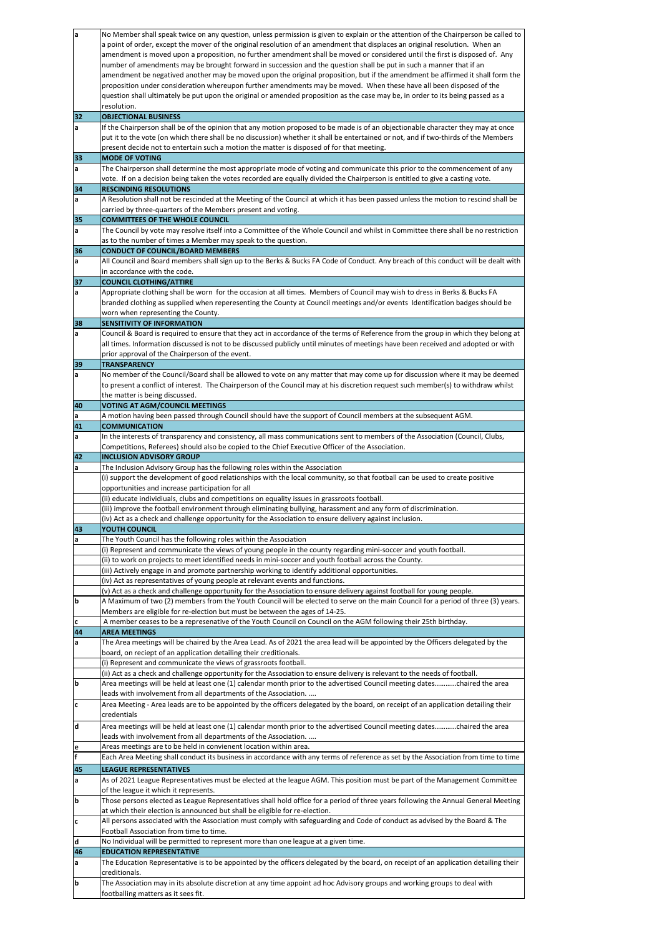| a                       | No Member shall speak twice on any question, unless permission is given to explain or the attention of the Chairperson be called to                                                                             |
|-------------------------|-----------------------------------------------------------------------------------------------------------------------------------------------------------------------------------------------------------------|
|                         | a point of order, except the mover of the original resolution of an amendment that displaces an original resolution. When an                                                                                    |
|                         | amendment is moved upon a proposition, no further amendment shall be moved or considered until the first is disposed of. Any                                                                                    |
|                         | number of amendments may be brought forward in succession and the question shall be put in such a manner that if an                                                                                             |
|                         | amendment be negatived another may be moved upon the original proposition, but if the amendment be affirmed it shall form the                                                                                   |
|                         | proposition under consideration whereupon further amendments may be moved. When these have all been disposed of the                                                                                             |
|                         | question shall ultimately be put upon the original or amended proposition as the case may be, in order to its being passed as a                                                                                 |
|                         | resolution.<br><b>OBJECTIONAL BUSINESS</b>                                                                                                                                                                      |
| 32<br>a                 | If the Chairperson shall be of the opinion that any motion proposed to be made is of an objectionable character they may at once                                                                                |
|                         | put it to the vote (on which there shall be no discussion) whether it shall be entertained or not, and if two-thirds of the Members                                                                             |
|                         | present decide not to entertain such a motion the matter is disposed of for that meeting.                                                                                                                       |
| 33                      | <b>MODE OF VOTING</b>                                                                                                                                                                                           |
| a                       | The Chairperson shall determine the most appropriate mode of voting and communicate this prior to the commencement of any                                                                                       |
|                         | vote. If on a decision being taken the votes recorded are equally divided the Chairperson is entitled to give a casting vote.                                                                                   |
| 34                      | <b>RESCINDING RESOLUTIONS</b>                                                                                                                                                                                   |
| a                       | A Resolution shall not be rescinded at the Meeting of the Council at which it has been passed unless the motion to rescind shall be                                                                             |
|                         | carried by three-quarters of the Members present and voting.                                                                                                                                                    |
| 35                      | <b>COMMITTEES OF THE WHOLE COUNCIL</b>                                                                                                                                                                          |
| a                       | The Council by vote may resolve itself into a Committee of the Whole Council and whilst in Committee there shall be no restriction<br>as to the number of times a Member may speak to the question.             |
| 36                      | <b>CONDUCT OF COUNCIL/BOARD MEMBERS</b>                                                                                                                                                                         |
| a                       | All Council and Board members shall sign up to the Berks & Bucks FA Code of Conduct. Any breach of this conduct will be dealt with                                                                              |
|                         | in accordance with the code.                                                                                                                                                                                    |
| 37                      | <b>COUNCIL CLOTHING/ATTIRE</b>                                                                                                                                                                                  |
| a                       | Appropriate clothing shall be worn for the occasion at all times. Members of Council may wish to dress in Berks & Bucks FA                                                                                      |
|                         | branded clothing as supplied when reperesenting the County at Council meetings and/or events Identification badges should be                                                                                    |
|                         | worn when representing the County.                                                                                                                                                                              |
| 38                      | SENSITIVITY OF INFORMATION                                                                                                                                                                                      |
| a                       | Council & Board is required to ensure that they act in accordance of the terms of Reference from the group in which they belong at                                                                              |
|                         | all times. Information discussed is not to be discussed publicly until minutes of meetings have been received and adopted or with                                                                               |
|                         | prior approval of the Chairperson of the event.                                                                                                                                                                 |
| 39<br>a                 | <b>TRANSPARENCY</b><br>No member of the Council/Board shall be allowed to vote on any matter that may come up for discussion where it may be deemed                                                             |
|                         | to present a conflict of interest. The Chairperson of the Council may at his discretion request such member(s) to withdraw whilst                                                                               |
|                         | the matter is being discussed.                                                                                                                                                                                  |
| 40                      | <b>VOTING AT AGM/COUNCIL MEETINGS</b>                                                                                                                                                                           |
| a                       | A motion having been passed through Council should have the support of Council members at the subsequent AGM.                                                                                                   |
| 41                      | <b>COMMUNICATION</b>                                                                                                                                                                                            |
| a                       | In the interests of transparency and consistency, all mass communications sent to members of the Association (Council, Clubs,                                                                                   |
|                         | Competitions, Referees) should also be copied to the Chief Executive Officer of the Association.                                                                                                                |
| 42                      | <b>INCLUSION ADVISORY GROUP</b>                                                                                                                                                                                 |
| a                       | The Inclusion Advisory Group has the following roles within the Association                                                                                                                                     |
|                         | (i) support the development of good relationships with the local community, so that football can be used to create positive                                                                                     |
|                         | opportunities and increase participation for all                                                                                                                                                                |
|                         | (ii) educate individiuals, clubs and competitions on equality issues in grassroots football.<br>(iii) improve the football environment through eliminating bullying, harassment and any form of discrimination. |
|                         | (iv) Act as a check and challenge opportunity for the Association to ensure delivery against inclusion.                                                                                                         |
| 43                      | YOUTH COUNCIL                                                                                                                                                                                                   |
| a                       | The Youth Council has the following roles within the Association                                                                                                                                                |
|                         | (i) Represent and communicate the views of young people in the county regarding mini-soccer and youth football.                                                                                                 |
|                         | (ii) to work on projects to meet identified needs in mini-soccer and youth football across the County.                                                                                                          |
|                         | (iii) Actively engage in and promote partnership working to identify additional opportunities.                                                                                                                  |
|                         | (iv) Act as representatives of young people at relevant events and functions.                                                                                                                                   |
|                         | (v) Act as a check and challenge opportunity for the Association to ensure delivery against football for young people.                                                                                          |
| $\mathbf b$             | A Maximum of two (2) members from the Youth Council will be elected to serve on the main Council for a period of three (3) years.                                                                               |
|                         | Members are eligible for re-election but must be between the ages of 14-25.<br>A member ceases to be a represenative of the Youth Council on Council on the AGM following their 25th birthday.                  |
| c<br>44                 | <b>AREA MEETINGS</b>                                                                                                                                                                                            |
| a                       | The Area meetings will be chaired by the Area Lead. As of 2021 the area lead will be appointed by the Officers delegated by the                                                                                 |
|                         | board, on reciept of an application detailing their creditionals.                                                                                                                                               |
|                         | (i) Represent and communicate the views of grassroots football.                                                                                                                                                 |
|                         | (ii) Act as a check and challenge opportunity for the Association to ensure delivery is relevant to the needs of football.                                                                                      |
| b                       | Area meetings will be held at least one (1) calendar month prior to the advertised Council meeting dateschaired the area                                                                                        |
|                         | leads with involvement from all departments of the Association.                                                                                                                                                 |
| $\mathbf c$             | Area Meeting - Area leads are to be appointed by the officers delegated by the board, on receipt of an application detailing their<br>credentials                                                               |
| $\overline{\mathsf{d}}$ |                                                                                                                                                                                                                 |
|                         | Area meetings will be held at least one (1) calendar month prior to the advertised Council meeting dateschaired the area                                                                                        |
|                         | leads with involvement from all departments of the Association.<br>Areas meetings are to be held in convienent location within area.                                                                            |
| $\frac{e}{f}$           | Each Area Meeting shall conduct its business in accordance with any terms of reference as set by the Association from time to time                                                                              |
| 45                      | <b>LEAGUE REPRESENTATIVES</b>                                                                                                                                                                                   |
| a                       | As of 2021 League Representatives must be elected at the league AGM. This position must be part of the Management Committee                                                                                     |
|                         | of the league it which it represents.                                                                                                                                                                           |
| b                       | Those persons elected as League Representatives shall hold office for a period of three years following the Annual General Meeting                                                                              |
|                         | at which their election is announced but shall be eligible for re-election.                                                                                                                                     |
| $\mathbf c$             | All persons associated with the Association must comply with safeguarding and Code of conduct as advised by the Board & The                                                                                     |
|                         | Football Association from time to time.                                                                                                                                                                         |
| d                       | No Individual will be permitted to represent more than one league at a given time.                                                                                                                              |
| 46                      | <b>EDUCATION REPRESENTATIVE</b>                                                                                                                                                                                 |
| a                       | The Education Representative is to be appointed by the officers delegated by the board, on receipt of an application detailing their                                                                            |
|                         | creditionals.                                                                                                                                                                                                   |
| b                       | The Association may in its absolute discretion at any time appoint ad hoc Advisory groups and working groups to deal with                                                                                       |
|                         | footballing matters as it sees fit.                                                                                                                                                                             |